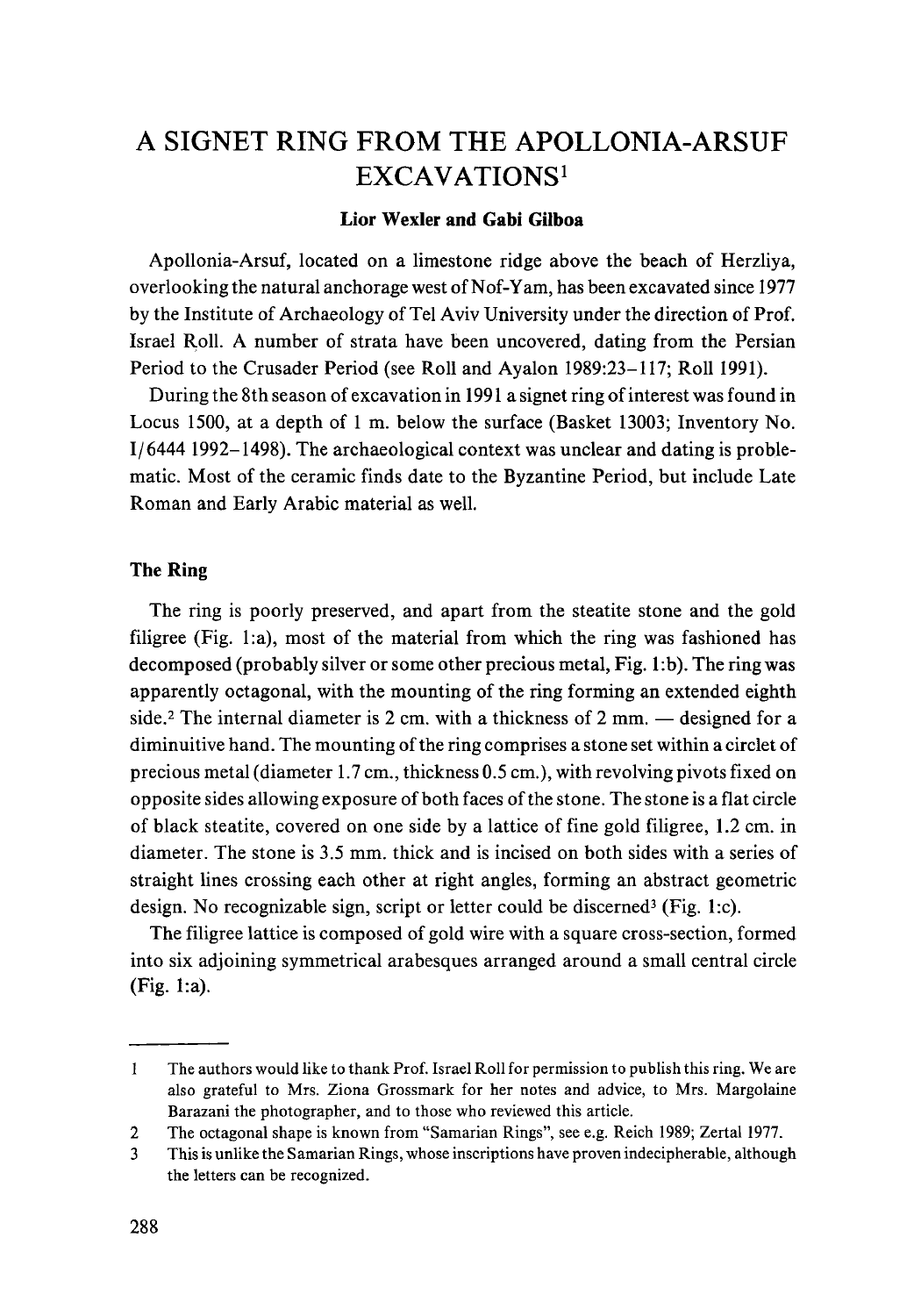# **A SIGNET RING FROM THE APOLLONIA-ARSUF EXCA VATIONSI**

## **Lior Wexler and Gabi Gilboa**

Apollonia-Arsuf, located on a limestone ridge above the beach of Herzliya, overlooking the natural anchorage west of Nof-Yam, has been excavated since 1977 by the Institute of Archaeology of Tel Aviv University under the direction of Prof. Israel Roll. A number of strata have been uncovered, dating from the Persian Period to the Crusader Period (see Roll and Ayalon 1989:23-117; Roll 1991).

During the 8th season of excavation in 1991a signet ring of interest was found in Locus 1500, at a depth of 1 m. below the surface (Basket 13003; Inventory No. 1/6444 1992-1498). The archaeological context was unclear and dating is problematic. Most of the ceramic finds date to the Byzantine Period, but include Late Roman and Early Arabic material as well.

### **The Ring**

The ring is poorly preserved, and apart from the steatite stone and the gold filigree (Fig. l:a), most of the material from which the ring was fashioned has decomposed (probably silver or some other precious metal, Fig. 1:b). The ring was apparently octagonal, with the mounting of the ring forming an extended eighth side.<sup>2</sup> The internal diameter is 2 cm. with a thickness of 2 mm.  $-$  designed for a diminuitive hand. The mounting of the ring comprises a stone set within a circlet of precious metal (diameter 1.7cm., thickness 0.5 cm.), with revolving pivots fixed on opposite sides allowing exposure of both faces of the stone. The stone is a flat circle of black steatite, covered on one side by a lattice of fine gold filigree, 1.2 cm. in diameter. The stone is 3.5 mm. thick and is incised on both sides with a series of straight lines crossing each other at right angles, forming an abstract geometric design. No recognizable sign, script or letter could be discerned<sup>3</sup> (Fig. 1:c).

The filigree lattice is composed of gold wire with a square cross-section, formed into six adjoining symmetrical arabesques arranged around a small central circle (Fig. l:a).

The authors would like to thank Prof. Israel Roll for permission to publish this ring. We are  $\mathbf{1}$ also grateful to Mrs. Ziona Grossmark for her notes and advice, to Mrs. Margolaine Barazani the photographer, and to those who reviewed this article.

<sup>2</sup> The octagonal shape is known from "Samarian Rings", see e.g. Reich 1989; Zertal 1977.

<sup>3</sup> This is unlike the Samarian Rings, whose inscriptions have proven indecipherable, although the letters can be recognized.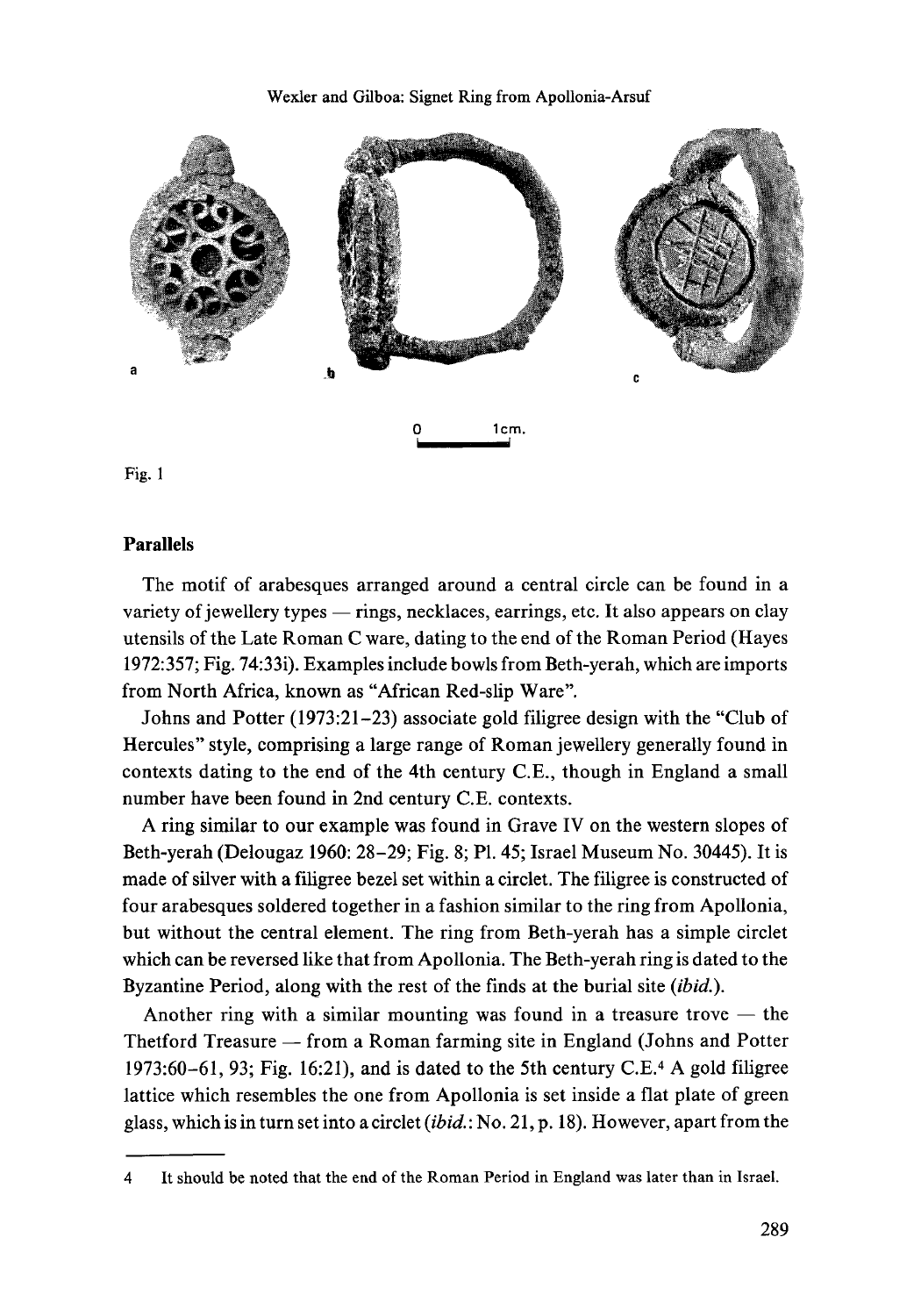

Fig. I

## **Parallels**

The motif of arabesques arranged around a central circle can be found in a variety of jewellery types  $-$  rings, necklaces, earrings, etc. It also appears on clay utensils of the Late Roman C ware, dating to the end of the Roman Period (Hayes 1972:357;Fig. 74:33i). Examples include bowls from Beth-yerah, which are imports from North Africa, known as "African Red-slip Ware".

Johns and Potter (1973:21-23) associate gold filigree design with the "Club of Hercules" style, comprising a large range of Roman jewellery generally found in contexts dating to the end of the 4th century C.E., though in England a small number have been found in 2nd century *C.B.* contexts.

A ring similar to our example was found in Grave IV on the western slopes of Beth-yerah (Delougaz 1960:28-29; Fig. 8; PI. 45; Israel Museum No. 30445). It is made of silver with a filigree bezel set within a circlet. The filigree is constructed of four arabesques soldered together in a fashion similar to the ring from Apollonia, but without the central element. The ring from Beth-yerah has a simple circlet which can be reversed like that from Apollonia. The Beth-yerah ring is dated to the Byzantine Period, along with the rest of the finds at the burial site *(ibid.).*

Another ring with a similar mounting was found in a treasure trove  $-$  the Thetford Treasure - from a Roman farming site in England (Johns and Potter 1973:60–61, 93; Fig. 16:21), and is dated to the 5th century C.E.<sup>4</sup> A gold filigree lattice which resembles the one from Apollonia is set inside a flat plate of green glass, which is in turn set into a circlet *(ibid.*: No. 21, p. 18). However, apart from the

<sup>4</sup> It should be noted that the end of the Roman Period in England was later than in Israel.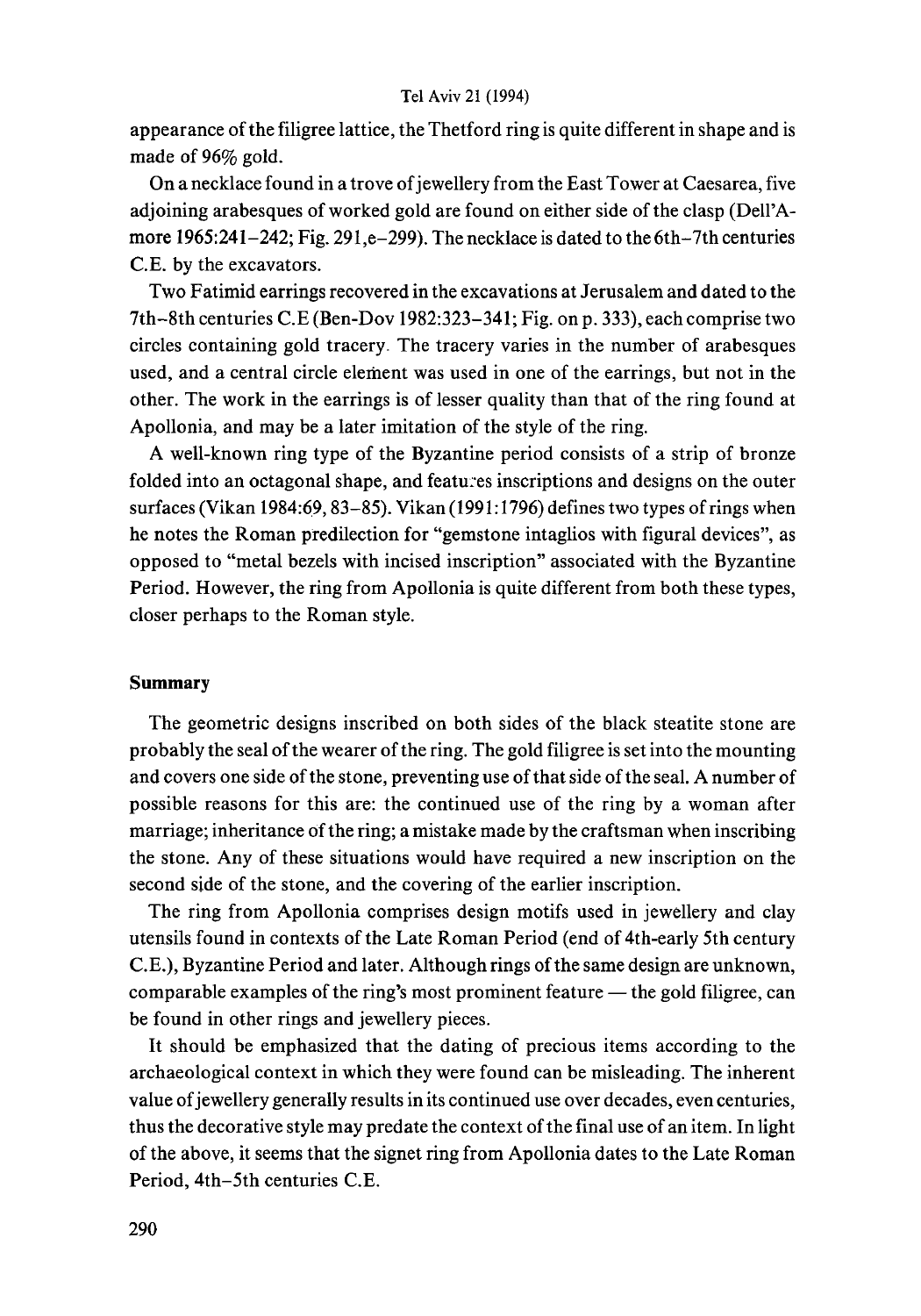#### Tel Aviv 21 (1994)

appearance of the filigree lattice, the Thetford ring is quite different in shape and is made of 96% gold.

On a necklace found in a trove of jewellery from the East Tower at Caesarea, five adjoining arabesques of worked gold are found on either side of the clasp (Dell'Amore 1965:241-242; Fig. 291, e-299). The necklace is dated to the 6th-7th centuries C.E. by the excavators.

Two Fatimid earrings recovered in the excavations at Jerusalem and dated to the 7th-8th centuries C.E (Ben-Dov 1982:323-341; Fig. on p. 333), each comprise two circles containing gold tracery. The tracery varies in the number of arabesques used, and a central circle element was used in one of the earrings, but not in the other. The work in the earrings is of lesser quality than that of the ring found at Apollonia, and may be a later imitation of the style of the ring.

A well-known ring type of the Byzantine period consists of a strip of bronze folded into an octagonal shape, and features inscriptions and designs on the outer surfaces (Vikan 1984:69, 83-85). Vikan (1991:1796) defines two types of rings when he notes the Roman predilection for "gemstone intaglios with figural devices", as opposed to "metal bezels with incised inscription" associated with the Byzantine Period. However, the ring from Apollonia is quite different from both these types, closer perhaps to the Roman style.

#### **Summary**

The geometric designs inscribed on both sides of the black steatite stone are pro bably the seal of the wearer of the ring. The gold filigree is setinto the mounting and covers one side of the stone, preventing use of that side of the seal. A number of possible reasons for this are: the continued use of the ring by a woman after marriage; inheritance of the ring; a mistake made by the craftsman when inscribing the stone. Any of these situations would have required a new inscription on the second side of the stone, and the covering of the earlier inscription.

The ring from Apollonia comprises design motifs used in jewellery and clay utensils found in contexts of the Late Roman Period (end of 4th-early 5th century C.E.), Byzantine Period and later. Although rings of the same design are unknown, comparable examples of the ring's most prominent feature - the gold filigree, can be found in other rings and jewellery pieces.

It should be emphasized that the dating of precious items according to the archaeological context in which they were found can be misleading. The inherent value ofjewellery generally results in its continued use over decades, even centuries, thus the decorative style may predate the context of the final use of an item. In light of the above, it seems that the signet ring from Apollonia dates to the Late Roman Period, 4th-5th centuries C.E.